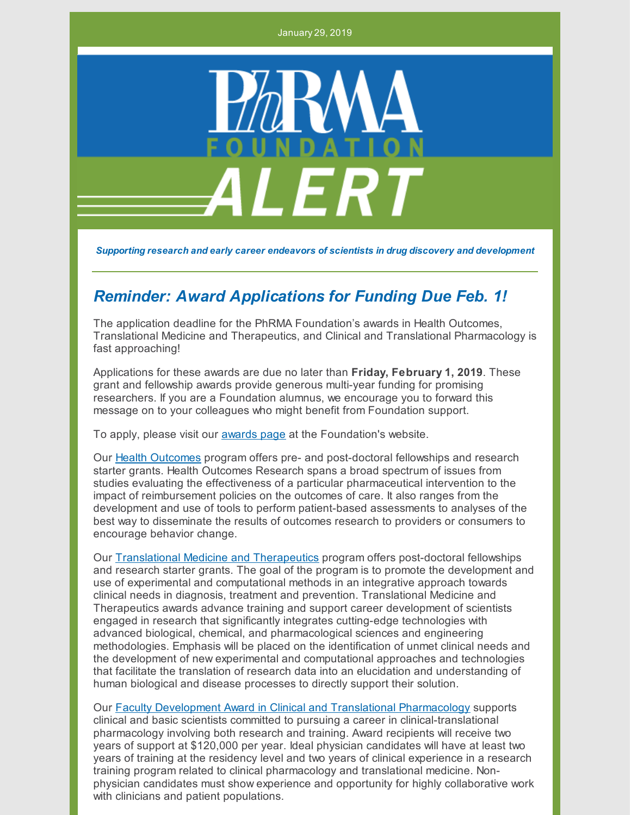January 29, 2019



*Supporting research and early career endeavors of scientists in drug discovery and development*

## *Reminder: Award Applications for Funding Due Feb. 1!*

The application deadline for the PhRMA Foundation's awards in Health Outcomes, Translational Medicine and Therapeutics, and Clinical and Translational Pharmacology is fast approaching!

Applications for these awards are due no later than **Friday, February 1, 2019**. These grant and fellowship awards provide generous multi-year funding for promising researchers. If you are a Foundation alumnus, we encourage you to forward this message on to your colleagues who might benefit from Foundation support.

To apply, please visit our [awards](http://www.phrmafoundation.org/awards/) page at the Foundation's website.

Our Health [Outcomes](http://www.phrmafoundation.org/wp-content/uploads/2018/12/HealthOutcomes-2018-BroV5FINx5.pdf) program offers pre- and post-doctoral fellowships and research starter grants. Health Outcomes Research spans a broad spectrum of issues from studies evaluating the effectiveness of a particular pharmaceutical intervention to the impact of reimbursement policies on the outcomes of care. It also ranges from the development and use of tools to perform patient-based assessments to analyses of the best way to disseminate the results of outcomes research to providers or consumers to encourage behavior change.

Our [Translational](http://www.phrmafoundation.org/wp-content/uploads/2018/12/Translational-Med-Therap-2019-BroV4.pdf) Medicine and Therapeutics program offers post-doctoral fellowships and research starter grants. The goal of the program is to promote the development and use of experimental and computational methods in an integrative approach towards clinical needs in diagnosis, treatment and prevention. Translational Medicine and Therapeutics awards advance training and support career development of scientists engaged in research that significantly integrates cutting-edge technologies with advanced biological, chemical, and pharmacological sciences and engineering methodologies. Emphasis will be placed on the identification of unmet clinical needs and the development of new experimental and computational approaches and technologies that facilitate the translation of research data into an elucidation and understanding of human biological and disease processes to directly support their solution.

Our Faculty Development Award in Clinical and Translational [Pharmacology](http://www.phrmafoundation.org/wp-content/uploads/2018/12/ClinicalTransPharm-2019.pdf) supports clinical and basic scientists committed to pursuing a career in clinical-translational pharmacology involving both research and training. Award recipients will receive two years of support at \$120,000 per year. Ideal physician candidates will have at least two years of training at the residency level and two years of clinical experience in a research training program related to clinical pharmacology and translational medicine. Nonphysician candidates must show experience and opportunity for highly collaborative work with clinicians and patient populations.